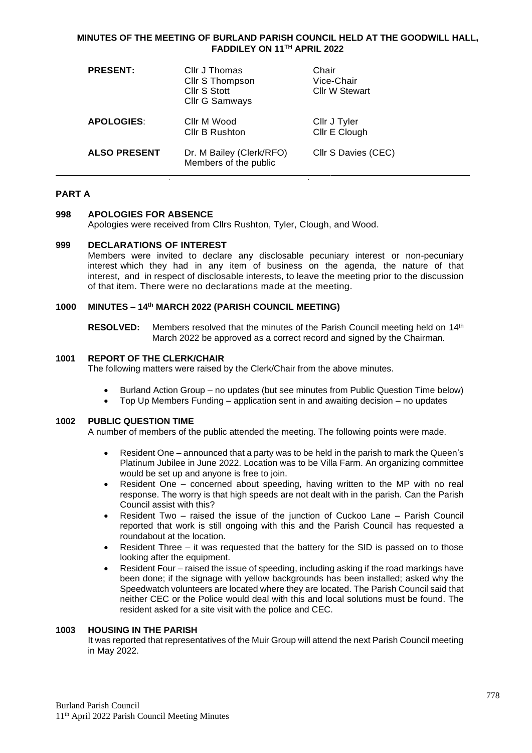### **MINUTES OF THE MEETING OF BURLAND PARISH COUNCIL HELD AT THE GOODWILL HALL, FADDILEY ON 11 TH APRIL 2022**

| <b>PRESENT:</b>     | Cllr J Thomas<br>Cllr S Thompson<br>Cllr S Stott<br>Cllr G Samways | Chair<br>Vice-Chair<br><b>Cllr W Stewart</b> |
|---------------------|--------------------------------------------------------------------|----------------------------------------------|
| <b>APOLOGIES:</b>   | Cllr M Wood<br>Cllr B Rushton                                      | Cllr J Tyler<br>Cllr E Clough                |
| <b>ALSO PRESENT</b> | Dr. M Bailey (Clerk/RFO)<br>Members of the public                  | Cllr S Davies (CEC)                          |

## **PART A**

### **998 APOLOGIES FOR ABSENCE**

Apologies were received from Cllrs Rushton, Tyler, Clough, and Wood.

#### **999 DECLARATIONS OF INTEREST**

Members were invited to declare any disclosable pecuniary interest or non-pecuniary interest which they had in any item of business on the agenda, the nature of that interest, and in respect of disclosable interests, to leave the meeting prior to the discussion of that item. There were no declarations made at the meeting.

### **1000 MINUTES – 14th MARCH 2022 (PARISH COUNCIL MEETING)**

**RESOLVED:** Members resolved that the minutes of the Parish Council meeting held on 14<sup>th</sup> March 2022 be approved as a correct record and signed by the Chairman.

#### **1001 REPORT OF THE CLERK/CHAIR**

The following matters were raised by the Clerk/Chair from the above minutes.

- Burland Action Group no updates (but see minutes from Public Question Time below)
- Top Up Members Funding application sent in and awaiting decision no updates

## **1002 PUBLIC QUESTION TIME**

A number of members of the public attended the meeting. The following points were made.

- Resident One announced that a party was to be held in the parish to mark the Queen's Platinum Jubilee in June 2022. Location was to be Villa Farm. An organizing committee would be set up and anyone is free to join.
- Resident One concerned about speeding, having written to the MP with no real response. The worry is that high speeds are not dealt with in the parish. Can the Parish Council assist with this?
- Resident Two raised the issue of the junction of Cuckoo Lane Parish Council reported that work is still ongoing with this and the Parish Council has requested a roundabout at the location.
- Resident Three it was requested that the battery for the SID is passed on to those looking after the equipment.
- Resident Four raised the issue of speeding, including asking if the road markings have been done; if the signage with yellow backgrounds has been installed; asked why the Speedwatch volunteers are located where they are located. The Parish Council said that neither CEC or the Police would deal with this and local solutions must be found. The resident asked for a site visit with the police and CEC.

#### **1003 HOUSING IN THE PARISH**

It was reported that representatives of the Muir Group will attend the next Parish Council meeting in May 2022.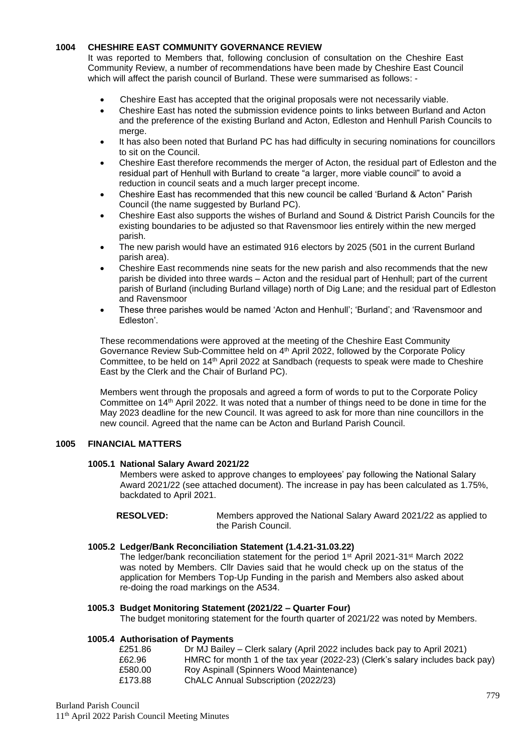# **1004 CHESHIRE EAST COMMUNITY GOVERNANCE REVIEW**

It was reported to Members that, following conclusion of consultation on the Cheshire East Community Review, a number of recommendations have been made by Cheshire East Council which will affect the parish council of Burland. These were summarised as follows: -

- Cheshire East has accepted that the original proposals were not necessarily viable.
- Cheshire East has noted the submission evidence points to links between Burland and Acton and the preference of the existing Burland and Acton, Edleston and Henhull Parish Councils to merge.
- It has also been noted that Burland PC has had difficulty in securing nominations for councillors to sit on the Council.
- Cheshire East therefore recommends the merger of Acton, the residual part of Edleston and the residual part of Henhull with Burland to create "a larger, more viable council" to avoid a reduction in council seats and a much larger precept income.
- Cheshire East has recommended that this new council be called 'Burland & Acton" Parish Council (the name suggested by Burland PC).
- Cheshire East also supports the wishes of Burland and Sound & District Parish Councils for the existing boundaries to be adjusted so that Ravensmoor lies entirely within the new merged parish.
- The new parish would have an estimated 916 electors by 2025 (501 in the current Burland parish area).
- Cheshire East recommends nine seats for the new parish and also recommends that the new parish be divided into three wards – Acton and the residual part of Henhull; part of the current parish of Burland (including Burland village) north of Dig Lane; and the residual part of Edleston and Ravensmoor
- These three parishes would be named 'Acton and Henhull'; 'Burland'; and 'Ravensmoor and Edleston'.

These recommendations were approved at the meeting of the Cheshire East Community Governance Review Sub-Committee held on 4<sup>th</sup> April 2022, followed by the Corporate Policy Committee, to be held on 14th April 2022 at Sandbach (requests to speak were made to Cheshire East by the Clerk and the Chair of Burland PC).

Members went through the proposals and agreed a form of words to put to the Corporate Policy Committee on 14<sup>th</sup> April 2022. It was noted that a number of things need to be done in time for the May 2023 deadline for the new Council. It was agreed to ask for more than nine councillors in the new council. Agreed that the name can be Acton and Burland Parish Council.

# **1005 FINANCIAL MATTERS**

#### **1005.1 National Salary Award 2021/22**

Members were asked to approve changes to employees' pay following the National Salary Award 2021/22 (see attached document). The increase in pay has been calculated as 1.75%, backdated to April 2021.

**RESOLVED:** Members approved the National Salary Award 2021/22 as applied to the Parish Council.

#### **1005.2 Ledger/Bank Reconciliation Statement (1.4.21-31.03.22)**

The ledger/bank reconciliation statement for the period  $1<sup>st</sup>$  April 2021-31 $<sup>st</sup>$  March 2022</sup> was noted by Members. Cllr Davies said that he would check up on the status of the application for Members Top-Up Funding in the parish and Members also asked about re-doing the road markings on the A534.

#### **1005.3 Budget Monitoring Statement (2021/22 – Quarter Four)**

The budget monitoring statement for the fourth quarter of 2021/22 was noted by Members.

#### **1005.4 Authorisation of Payments**

| £251.86 | Dr MJ Bailey – Clerk salary (April 2022 includes back pay to April 2021)      |
|---------|-------------------------------------------------------------------------------|
| £62.96  | HMRC for month 1 of the tax year (2022-23) (Clerk's salary includes back pay) |
| £580.00 | Roy Aspinall (Spinners Wood Maintenance)                                      |
| £173.88 | ChALC Annual Subscription (2022/23)                                           |